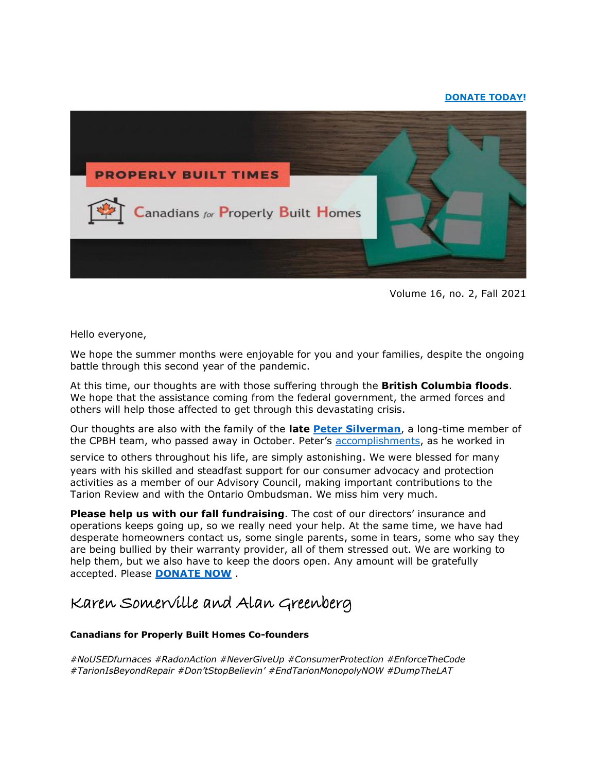# **[DONATE TODAY!](http://canadiansforproperlybuilthomes.com/what-you-can-do/donate/)**



Volume 16, no. 2, Fall 2021

Hello everyone,

We hope the summer months were enjoyable for you and your families, despite the ongoing battle through this second year of the pandemic.

At this time, our thoughts are with those suffering through the **British Columbia floods**. We hope that the assistance coming from the federal government, the armed forces and others will help those affected to get through this devastating crisis.

Our thoughts are also with the family of the **late [Peter Silverman](http://canadiansforproperlybuilthomes.com/in-memoriam/)**, a long-time member of the CPBH team, who passed away in October. Peter's [accomplishments,](https://www.legacy.com/obituaries/thestar/obituary.aspx?n=peter-guy-silverman&pid=200358149) as he worked in

service to others throughout his life, are simply astonishing. We were blessed for many

years with his skilled and steadfast support for our consumer advocacy and protection activities as a member of our Advisory Council, making important contributions to the Tarion Review and with the Ontario Ombudsman. We miss him very much.

**Please help us with our fall [fundraising](http://canadiansforproperlybuilthomes.com/what-you-can-do/donate/)**. The cost of our directors' insurance and operations keeps going up, so we really need your help. At the same time, we have had desperate homeowners contact us, some single parents, some in tears, some who say they are being bullied by their warranty provider, all of them stressed out. We are working to help them, but we also have to keep the doors open. Any amount will be gratefully accepted. Please **[DONATE NOW](http://canadiansforproperlybuilthomes.com/what-you-can-do/donate/)** .

# Karen Somerville and Alan Greenberg

# **Canadians for Properly Built Homes Co-founders**

*#NoUSEDfurnaces #RadonAction #NeverGiveUp #ConsumerProtection #EnforceTheCode #TarionIsBeyondRepair #Don'tStopBelievin' #EndTarionMonopolyNOW #DumpTheLAT*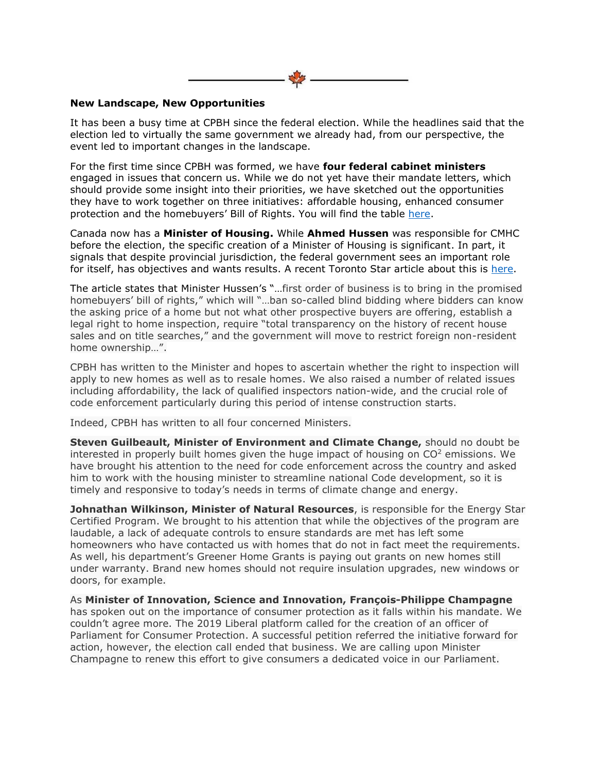

# **New Landscape, New Opportunities**

It has been a busy time at CPBH since the federal election. While the headlines said that the election led to virtually the same government we already had, from our perspective, the event led to important changes in the landscape.

For the first time since CPBH was formed, we have **four federal cabinet ministers** engaged in issues that concern us. While we do not yet have their mandate letters, which should provide some insight into their priorities, we have sketched out the opportunities they have to work together on three initiatives: affordable housing, enhanced consumer protection and the homebuyers' Bill of Rights. You will find the table [here.](http://canadiansforproperlybuilthomes.com/wp-content/uploads/2021/11/Nov.-2021-Opportunities-for-the-Canadian-Federal-Government.pdf)

Canada now has a **Minister of Housing.** While **Ahmed Hussen** was responsible for CMHC before the election, the specific creation of a Minister of Housing is significant. In part, it signals that despite provincial jurisdiction, the federal government sees an important role for itself, has objectives and wants results. A recent Toronto Star article about this is [here.](https://www.thestar.com/politics/federal/2021/10/31/housing-minister-ahmed-hussen-has-a-massive-to-do-list-and-he-couldnt-be-happier.html)

The article states that Minister Hussen's "…first order of business is to bring in the promised homebuyers' bill of rights," which will "...ban so-called blind bidding where bidders can know the asking price of a home but not what other prospective buyers are offering, establish a legal right to home inspection, require "total transparency on the history of recent house sales and on title searches," and the government will move to restrict foreign non-resident home ownership…".

CPBH has written to the Minister and hopes to ascertain whether the right to inspection will apply to new homes as well as to resale homes. We also raised a number of related issues including affordability, the lack of qualified inspectors nation-wide, and the crucial role of code enforcement particularly during this period of intense construction starts.

Indeed, CPBH has written to all four concerned Ministers.

**Steven Guilbeault, Minister of Environment and Climate Change,** should no doubt be interested in properly built homes given the huge impact of housing on  $CO<sup>2</sup>$  emissions. We have brought his attention to the need for code enforcement across the country and asked him to work with the housing minister to streamline national Code development, so it is timely and responsive to today's needs in terms of climate change and energy.

**Johnathan Wilkinson, Minister of Natural Resources**, is responsible for the Energy Star Certified Program. We brought to his attention that while the objectives of the program are laudable, a lack of adequate controls to ensure standards are met has left some homeowners who have contacted us with homes that do not in fact meet the requirements. As well, his department's Greener Home Grants is paying out grants on new homes still under warranty. Brand new homes should not require insulation upgrades, new windows or doors, for example.

As **Minister of Innovation, Science and Innovation, François-Philippe Champagne** has spoken out on the importance of consumer protection as it falls within his mandate. We couldn't agree more. The 2019 Liberal platform called for the creation of an officer of Parliament for Consumer Protection. A successful petition referred the initiative forward for action, however, the election call ended that business. We are calling upon Minister Champagne to renew this effort to give consumers a dedicated voice in our Parliament.